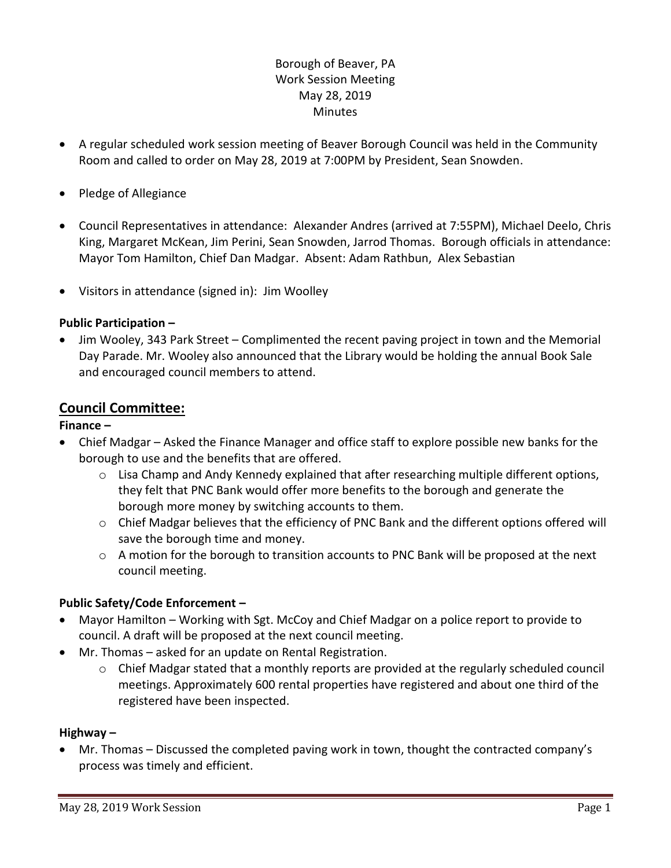# Borough of Beaver, PA Work Session Meeting May 28, 2019 **Minutes**

- A regular scheduled work session meeting of Beaver Borough Council was held in the Community Room and called to order on May 28, 2019 at 7:00PM by President, Sean Snowden.
- Pledge of Allegiance
- Council Representatives in attendance: Alexander Andres (arrived at 7:55PM), Michael Deelo, Chris King, Margaret McKean, Jim Perini, Sean Snowden, Jarrod Thomas. Borough officials in attendance: Mayor Tom Hamilton, Chief Dan Madgar. Absent: Adam Rathbun, Alex Sebastian
- Visitors in attendance (signed in): Jim Woolley

#### **Public Participation –**

 Jim Wooley, 343 Park Street – Complimented the recent paving project in town and the Memorial Day Parade. Mr. Wooley also announced that the Library would be holding the annual Book Sale and encouraged council members to attend.

## **Council Committee:**

#### **Finance –**

- Chief Madgar Asked the Finance Manager and office staff to explore possible new banks for the borough to use and the benefits that are offered.
	- $\circ$  Lisa Champ and Andy Kennedy explained that after researching multiple different options, they felt that PNC Bank would offer more benefits to the borough and generate the borough more money by switching accounts to them.
	- $\circ$  Chief Madgar believes that the efficiency of PNC Bank and the different options offered will save the borough time and money.
	- o A motion for the borough to transition accounts to PNC Bank will be proposed at the next council meeting.

## **Public Safety/Code Enforcement –**

- Mayor Hamilton Working with Sgt. McCoy and Chief Madgar on a police report to provide to council. A draft will be proposed at the next council meeting.
- Mr. Thomas asked for an update on Rental Registration.
	- o Chief Madgar stated that a monthly reports are provided at the regularly scheduled council meetings. Approximately 600 rental properties have registered and about one third of the registered have been inspected.

#### **Highway –**

 Mr. Thomas – Discussed the completed paving work in town, thought the contracted company's process was timely and efficient.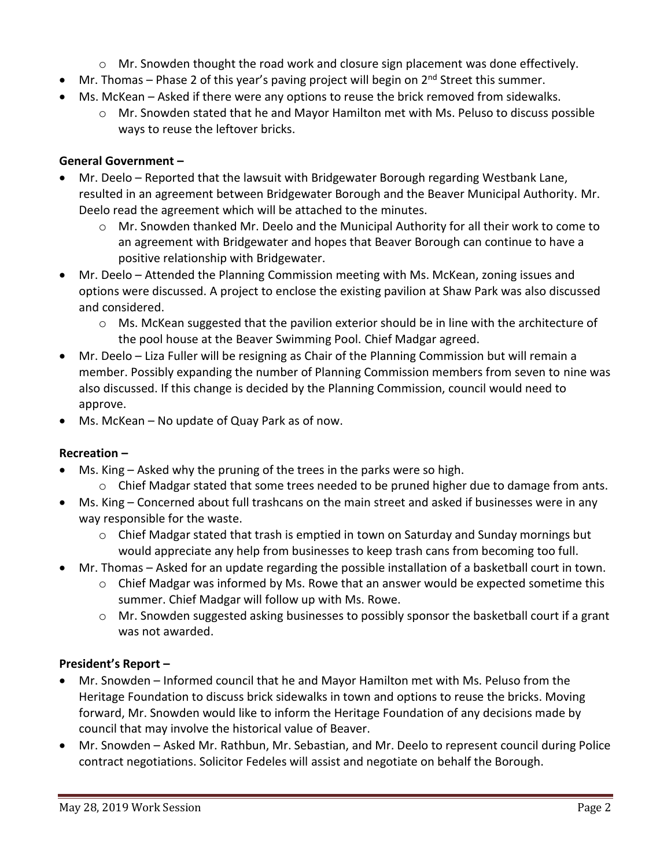- $\circ$  Mr. Snowden thought the road work and closure sign placement was done effectively.
- $\bullet$  Mr. Thomas Phase 2 of this year's paving project will begin on  $2^{nd}$  Street this summer.
- Ms. McKean Asked if there were any options to reuse the brick removed from sidewalks.
	- o Mr. Snowden stated that he and Mayor Hamilton met with Ms. Peluso to discuss possible ways to reuse the leftover bricks.

## **General Government –**

- Mr. Deelo Reported that the lawsuit with Bridgewater Borough regarding Westbank Lane, resulted in an agreement between Bridgewater Borough and the Beaver Municipal Authority. Mr. Deelo read the agreement which will be attached to the minutes.
	- $\circ$  Mr. Snowden thanked Mr. Deelo and the Municipal Authority for all their work to come to an agreement with Bridgewater and hopes that Beaver Borough can continue to have a positive relationship with Bridgewater.
- Mr. Deelo Attended the Planning Commission meeting with Ms. McKean, zoning issues and options were discussed. A project to enclose the existing pavilion at Shaw Park was also discussed and considered.
	- $\circ$  Ms. McKean suggested that the pavilion exterior should be in line with the architecture of the pool house at the Beaver Swimming Pool. Chief Madgar agreed.
- Mr. Deelo Liza Fuller will be resigning as Chair of the Planning Commission but will remain a member. Possibly expanding the number of Planning Commission members from seven to nine was also discussed. If this change is decided by the Planning Commission, council would need to approve.
- Ms. McKean No update of Quay Park as of now.

## **Recreation –**

- Ms. King Asked why the pruning of the trees in the parks were so high.
	- $\circ$  Chief Madgar stated that some trees needed to be pruned higher due to damage from ants.
- Ms. King Concerned about full trashcans on the main street and asked if businesses were in any way responsible for the waste.
	- $\circ$  Chief Madgar stated that trash is emptied in town on Saturday and Sunday mornings but would appreciate any help from businesses to keep trash cans from becoming too full.
- Mr. Thomas Asked for an update regarding the possible installation of a basketball court in town.
	- $\circ$  Chief Madgar was informed by Ms. Rowe that an answer would be expected sometime this summer. Chief Madgar will follow up with Ms. Rowe.
	- $\circ$  Mr. Snowden suggested asking businesses to possibly sponsor the basketball court if a grant was not awarded.

## **President's Report –**

- Mr. Snowden Informed council that he and Mayor Hamilton met with Ms. Peluso from the Heritage Foundation to discuss brick sidewalks in town and options to reuse the bricks. Moving forward, Mr. Snowden would like to inform the Heritage Foundation of any decisions made by council that may involve the historical value of Beaver.
- Mr. Snowden Asked Mr. Rathbun, Mr. Sebastian, and Mr. Deelo to represent council during Police contract negotiations. Solicitor Fedeles will assist and negotiate on behalf the Borough.